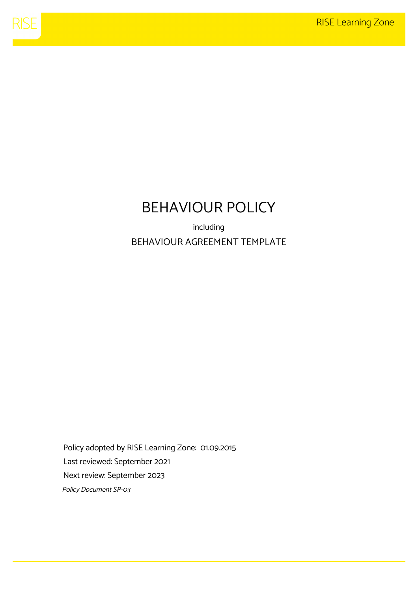

# BEHAVIOUR POLICY

including BEHAVIOUR AGREEMENT TEMPLATE

Policy adopted by RISE Learning Zone: 01.09.2015 Last reviewed: September 2021 Next review: September 2023 Policy Document SP-03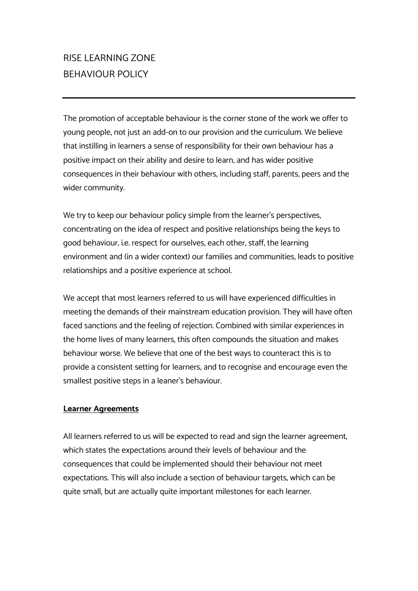## RISE LEARNING ZONE BEHAVIOUR POLICY

The promotion of acceptable behaviour is the corner stone of the work we offer to young people, not just an add-on to our provision and the curriculum. We believe that instilling in learners a sense of responsibility for their own behaviour has a positive impact on their ability and desire to learn, and has wider positive consequences in their behaviour with others, including staff, parents, peers and the wider community.

We try to keep our behaviour policy simple from the learner's perspectives, concentrating on the idea of respect and positive relationships being the keys to good behaviour; i.e. respect for ourselves, each other, staff, the learning environment and (in a wider context) our families and communities, leads to positive relationships and a positive experience at school.

We accept that most learners referred to us will have experienced difficulties in meeting the demands of their mainstream education provision. They will have often faced sanctions and the feeling of rejection. Combined with similar experiences in the home lives of many learners, this often compounds the situation and makes behaviour worse. We believe that one of the best ways to counteract this is to provide a consistent setting for learners, and to recognise and encourage even the smallest positive steps in a leaner's behaviour.

#### **Learner Agreements**

All learners referred to us will be expected to read and sign the learner agreement, which states the expectations around their levels of behaviour and the consequences that could be implemented should their behaviour not meet expectations. This will also include a section of behaviour targets, which can be quite small, but are actually quite important milestones for each learner.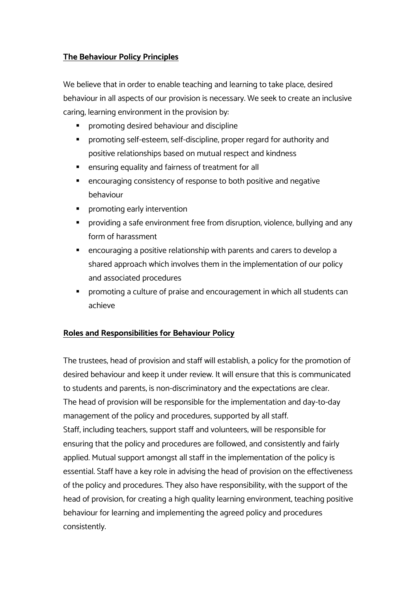#### **The Behaviour Policy Principles**

We believe that in order to enable teaching and learning to take place, desired behaviour in all aspects of our provision is necessary. We seek to create an inclusive caring, learning environment in the provision by:

- § promoting desired behaviour and discipline
- § promoting self-esteem, self-discipline, proper regard for authority and positive relationships based on mutual respect and kindness
- ensuring equality and fairness of treatment for all
- encouraging consistency of response to both positive and negative behaviour
- promoting early intervention
- providing a safe environment free from disruption, violence, bullying and any form of harassment
- § encouraging a positive relationship with parents and carers to develop a shared approach which involves them in the implementation of our policy and associated procedures
- § promoting a culture of praise and encouragement in which all students can achieve

#### **Roles and Responsibilities for Behaviour Policy**

The trustees, head of provision and staff will establish, a policy for the promotion of desired behaviour and keep it under review. It will ensure that this is communicated to students and parents, is non-discriminatory and the expectations are clear. The head of provision will be responsible for the implementation and day-to-day management of the policy and procedures, supported by all staff. Staff, including teachers, support staff and volunteers, will be responsible for ensuring that the policy and procedures are followed, and consistently and fairly applied. Mutual support amongst all staff in the implementation of the policy is essential. Staff have a key role in advising the head of provision on the effectiveness of the policy and procedures. They also have responsibility, with the support of the head of provision, for creating a high quality learning environment, teaching positive behaviour for learning and implementing the agreed policy and procedures consistently.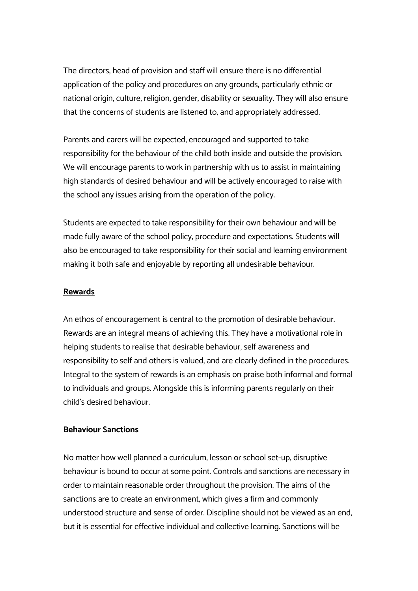The directors, head of provision and staff will ensure there is no differential application of the policy and procedures on any grounds, particularly ethnic or national origin, culture, religion, gender, disability or sexuality. They will also ensure that the concerns of students are listened to, and appropriately addressed.

Parents and carers will be expected, encouraged and supported to take responsibility for the behaviour of the child both inside and outside the provision. We will encourage parents to work in partnership with us to assist in maintaining high standards of desired behaviour and will be actively encouraged to raise with the school any issues arising from the operation of the policy.

Students are expected to take responsibility for their own behaviour and will be made fully aware of the school policy, procedure and expectations. Students will also be encouraged to take responsibility for their social and learning environment making it both safe and enjoyable by reporting all undesirable behaviour.

#### **Rewards**

An ethos of encouragement is central to the promotion of desirable behaviour. Rewards are an integral means of achieving this. They have a motivational role in helping students to realise that desirable behaviour, self awareness and responsibility to self and others is valued, and are clearly defined in the procedures. Integral to the system of rewards is an emphasis on praise both informal and formal to individuals and groups. Alongside this is informing parents regularly on their child's desired behaviour.

#### **Behaviour Sanctions**

No matter how well planned a curriculum, lesson or school set-up, disruptive behaviour is bound to occur at some point. Controls and sanctions are necessary in order to maintain reasonable order throughout the provision. The aims of the sanctions are to create an environment, which gives a firm and commonly understood structure and sense of order. Discipline should not be viewed as an end, but it is essential for effective individual and collective learning. Sanctions will be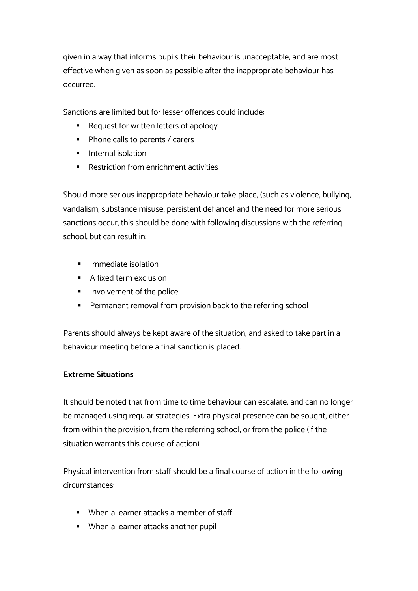given in a way that informs pupils their behaviour is unacceptable, and are most effective when given as soon as possible after the inappropriate behaviour has occurred.

Sanctions are limited but for lesser offences could include:

- § Request for written letters of apology
- Phone calls to parents / carers
- **•** Internal isolation
- Restriction from enrichment activities

Should more serious inappropriate behaviour take place, (such as violence, bullying, vandalism, substance misuse, persistent defiance) and the need for more serious sanctions occur, this should be done with following discussions with the referring school, but can result in:

- **•** Immediate isolation
- A fixed term exclusion
- Involvement of the police
- Permanent removal from provision back to the referring school

Parents should always be kept aware of the situation, and asked to take part in a behaviour meeting before a final sanction is placed.

#### **Extreme Situations**

It should be noted that from time to time behaviour can escalate, and can no longer be managed using regular strategies. Extra physical presence can be sought, either from within the provision, from the referring school, or from the police (if the situation warrants this course of action)

Physical intervention from staff should be a final course of action in the following circumstances:

- When a learner attacks a member of staff
- When a learner attacks another pupil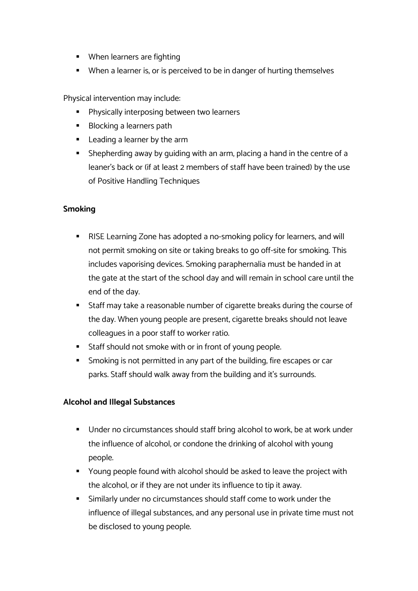- When learners are fighting
- When a learner is, or is perceived to be in danger of hurting themselves

Physical intervention may include:

- Physically interposing between two learners
- Blocking a learners path
- Leading a learner by the arm
- Shepherding away by quiding with an arm, placing a hand in the centre of a leaner's back or (if at least 2 members of staff have been trained) by the use of Positive Handling Techniques

#### **Smoking**

- RISE Learning Zone has adopted a no-smoking policy for learners, and will not permit smoking on site or taking breaks to go off-site for smoking. This includes vaporising devices. Smoking paraphernalia must be handed in at the gate at the start of the school day and will remain in school care until the end of the day.
- § Staff may take a reasonable number of cigarette breaks during the course of the day. When young people are present, cigarette breaks should not leave colleagues in a poor staff to worker ratio.
- Staff should not smoke with or in front of young people.
- § Smoking is not permitted in any part of the building, fire escapes or car parks. Staff should walk away from the building and it's surrounds.

#### **Alcohol and Illegal Substances**

- Under no circumstances should staff bring alcohol to work, be at work under the influence of alcohol, or condone the drinking of alcohol with young people.
- Young people found with alcohol should be asked to leave the project with the alcohol, or if they are not under its influence to tip it away.
- Similarly under no circumstances should staff come to work under the influence of illegal substances, and any personal use in private time must not be disclosed to young people.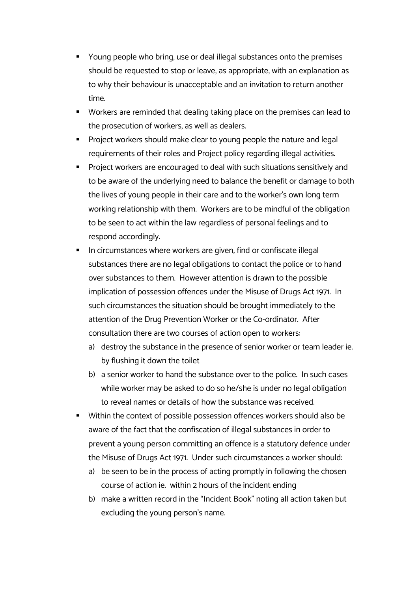- Young people who bring, use or deal illegal substances onto the premises should be requested to stop or leave, as appropriate, with an explanation as to why their behaviour is unacceptable and an invitation to return another time.
- § Workers are reminded that dealing taking place on the premises can lead to the prosecution of workers, as well as dealers.
- Project workers should make clear to young people the nature and legal requirements of their roles and Project policy regarding illegal activities.
- § Project workers are encouraged to deal with such situations sensitively and to be aware of the underlying need to balance the benefit or damage to both the lives of young people in their care and to the worker's own long term working relationship with them. Workers are to be mindful of the obligation to be seen to act within the law regardless of personal feelings and to respond accordingly.
- In circumstances where workers are given, find or confiscate illegal substances there are no legal obligations to contact the police or to hand over substances to them. However attention is drawn to the possible implication of possession offences under the Misuse of Drugs Act 1971. In such circumstances the situation should be brought immediately to the attention of the Drug Prevention Worker or the Co-ordinator. After consultation there are two courses of action open to workers:
	- a) destroy the substance in the presence of senior worker or team leader ie. by flushing it down the toilet
	- b) a senior worker to hand the substance over to the police. In such cases while worker may be asked to do so he/she is under no legal obligation to reveal names or details of how the substance was received.
- Within the context of possible possession offences workers should also be aware of the fact that the confiscation of illegal substances in order to prevent a young person committing an offence is a statutory defence under the Misuse of Drugs Act 1971. Under such circumstances a worker should:
	- a) be seen to be in the process of acting promptly in following the chosen course of action ie. within 2 hours of the incident ending
	- b) make a written record in the "Incident Book" noting all action taken but excluding the young person's name.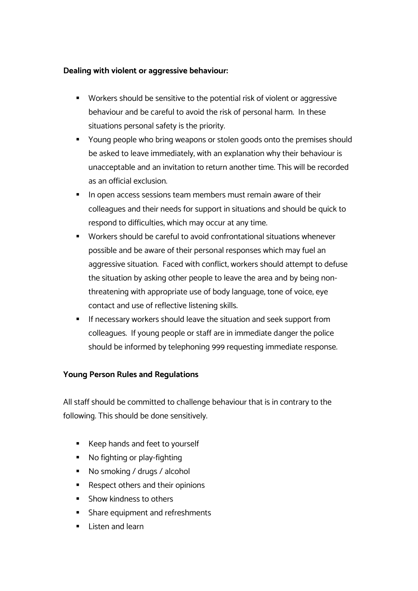#### **Dealing with violent or aggressive behaviour:**

- Workers should be sensitive to the potential risk of violent or aggressive behaviour and be careful to avoid the risk of personal harm. In these situations personal safety is the priority.
- Young people who bring weapons or stolen goods onto the premises should be asked to leave immediately, with an explanation why their behaviour is unacceptable and an invitation to return another time. This will be recorded as an official exclusion.
- In open access sessions team members must remain aware of their colleagues and their needs for support in situations and should be quick to respond to difficulties, which may occur at any time.
- Workers should be careful to avoid confrontational situations whenever possible and be aware of their personal responses which may fuel an aggressive situation. Faced with conflict, workers should attempt to defuse the situation by asking other people to leave the area and by being nonthreatening with appropriate use of body language, tone of voice, eye contact and use of reflective listening skills.
- If necessary workers should leave the situation and seek support from colleagues. If young people or staff are in immediate danger the police should be informed by telephoning 999 requesting immediate response.

#### **Young Person Rules and Regulations**

All staff should be committed to challenge behaviour that is in contrary to the following. This should be done sensitively.

- Keep hands and feet to yourself
- No fighting or play-fighting
- No smoking / drugs / alcohol
- Respect others and their opinions
- § Show kindness to others
- Share equipment and refreshments
- Listen and learn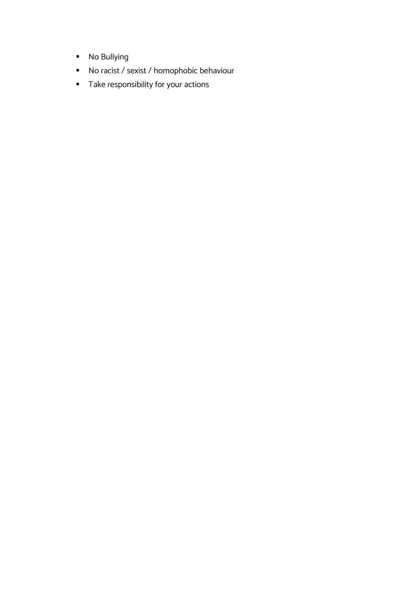- No Bullying
- No racist / sexist / homophobic behaviour
- § Take responsibility for your actions